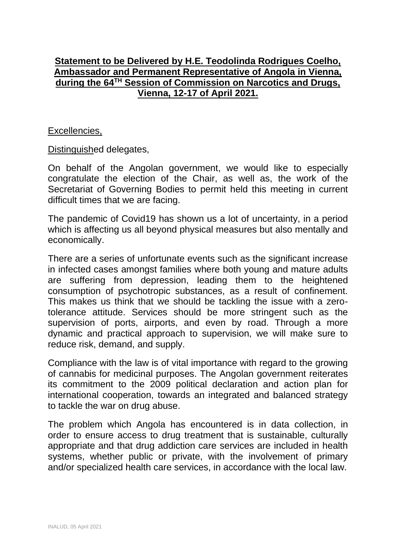## **Statement to be Delivered by H.E. Teodolinda Rodrigues Coelho, Ambassador and Permanent Representative of Angola in Vienna, during the 64TH Session of Commission on Narcotics and Drugs, Vienna, 12-17 of April 2021.**

## Excellencies,

Distinguished delegates,

On behalf of the Angolan government, we would like to especially congratulate the election of the Chair, as well as, the work of the Secretariat of Governing Bodies to permit held this meeting in current difficult times that we are facing.

The pandemic of Covid19 has shown us a lot of uncertainty, in a period which is affecting us all beyond physical measures but also mentally and economically.

There are a series of unfortunate events such as the significant increase in infected cases amongst families where both young and mature adults are suffering from depression, leading them to the heightened consumption of psychotropic substances, as a result of confinement. This makes us think that we should be tackling the issue with a zerotolerance attitude. Services should be more stringent such as the supervision of ports, airports, and even by road. Through a more dynamic and practical approach to supervision, we will make sure to reduce risk, demand, and supply.

Compliance with the law is of vital importance with regard to the growing of cannabis for medicinal purposes. The Angolan government reiterates its commitment to the 2009 political declaration and action plan for international cooperation, towards an integrated and balanced strategy to tackle the war on drug abuse.

The problem which Angola has encountered is in data collection, in order to ensure access to drug treatment that is sustainable, culturally appropriate and that drug addiction care services are included in health systems, whether public or private, with the involvement of primary and/or specialized health care services, in accordance with the local law.